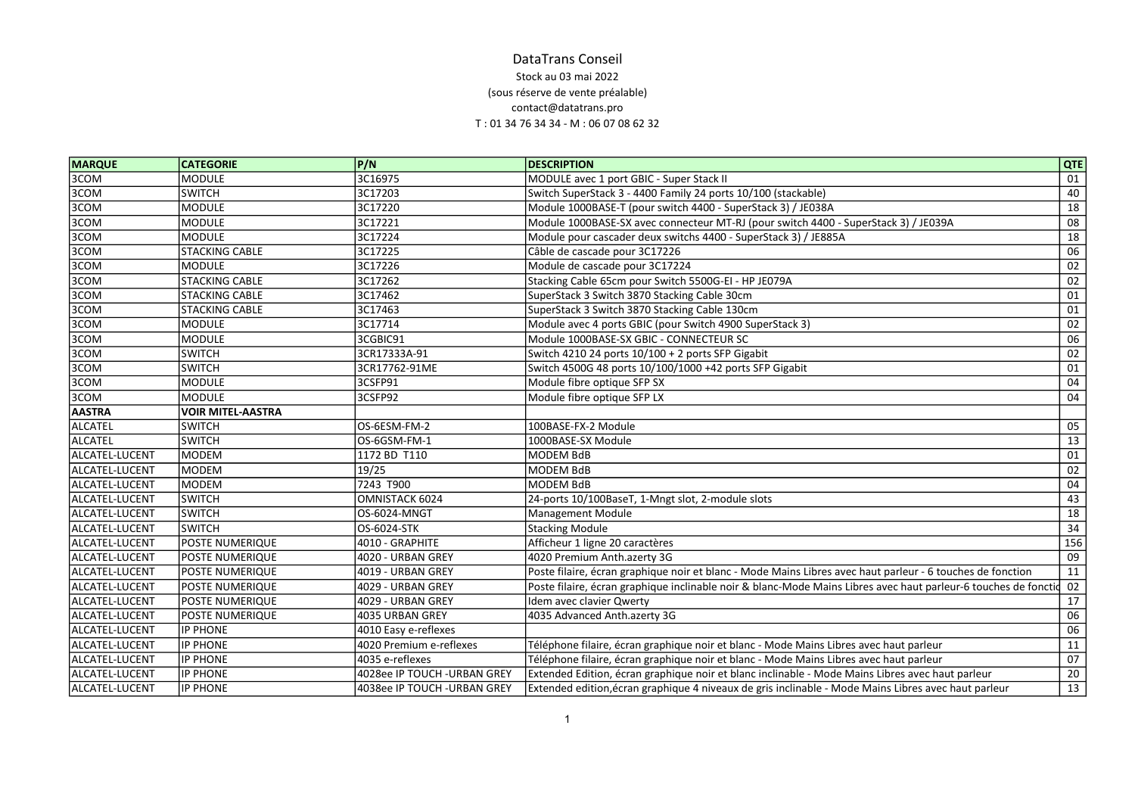| <b>MARQUE</b>   | <b>CATEGORIE</b>         | P/N                          | <b>DESCRIPTION</b>                                                                                                 | QTE |
|-----------------|--------------------------|------------------------------|--------------------------------------------------------------------------------------------------------------------|-----|
| 3COM            | <b>MODULE</b>            | 3C16975                      | MODULE avec 1 port GBIC - Super Stack II                                                                           | 01  |
| 3COM            | <b>SWITCH</b>            | 3C17203                      | Switch SuperStack 3 - 4400 Family 24 ports 10/100 (stackable)                                                      | 40  |
| 3COM            | <b>MODULE</b>            | 3C17220                      | Module 1000BASE-T (pour switch 4400 - SuperStack 3) / JE038A                                                       | 18  |
| 3COM            | <b>MODULE</b>            | 3C17221                      | Module 1000BASE-SX avec connecteur MT-RJ (pour switch 4400 - SuperStack 3) / JE039A                                | 08  |
| 3COM            | <b>MODULE</b>            | 3C17224                      | Module pour cascader deux switchs 4400 - SuperStack 3) / JE885A                                                    | 18  |
| 3COM            | <b>STACKING CABLE</b>    | 3C17225                      | Câble de cascade pour 3C17226                                                                                      | 06  |
| 3COM            | <b>MODULE</b>            | 3C17226                      | Module de cascade pour 3C17224                                                                                     | 02  |
| 3COM            | <b>STACKING CABLE</b>    | 3C17262                      | Stacking Cable 65cm pour Switch 5500G-EI - HP JE079A                                                               | 02  |
| 3COM            | <b>STACKING CABLE</b>    | 3C17462                      | SuperStack 3 Switch 3870 Stacking Cable 30cm                                                                       | 01  |
| 3COM            | <b>STACKING CABLE</b>    | 3C17463                      | SuperStack 3 Switch 3870 Stacking Cable 130cm                                                                      | 01  |
| 3COM            | <b>MODULE</b>            | 3C17714                      | Module avec 4 ports GBIC (pour Switch 4900 SuperStack 3)                                                           | 02  |
| 3COM            | <b>MODULE</b>            | 3CGBIC91                     | Module 1000BASE-SX GBIC - CONNECTEUR SC                                                                            | 06  |
| 3COM            | <b>SWITCH</b>            | 3CR17333A-91                 | Switch 4210 24 ports 10/100 + 2 ports SFP Gigabit                                                                  | 02  |
| 3COM            | <b>SWITCH</b>            | 3CR17762-91ME                | Switch 4500G 48 ports 10/100/1000 +42 ports SFP Gigabit                                                            | 01  |
| 3COM            | <b>MODULE</b>            | 3CSFP91                      | Module fibre optique SFP SX                                                                                        | 04  |
| 3COM            | <b>MODULE</b>            | 3CSFP92                      | Module fibre optique SFP LX                                                                                        | 04  |
| <b>AASTRA</b>   | <b>VOIR MITEL-AASTRA</b> |                              |                                                                                                                    |     |
| ALCATEL         | <b>SWITCH</b>            | OS-6ESM-FM-2                 | 100BASE-FX-2 Module                                                                                                | 05  |
| ALCATEL         | <b>SWITCH</b>            | OS-6GSM-FM-1                 | 1000BASE-SX Module                                                                                                 | 13  |
| ALCATEL-LUCENT  | <b>MODEM</b>             | 1172 BD T110                 | MODEM BdB                                                                                                          | 01  |
| ALCATEL-LUCENT  | <b>MODEM</b>             | 19/25                        | <b>MODEM BdB</b>                                                                                                   | 02  |
| ALCATEL-LUCENT  | Іморем                   | 7243 T900                    | <b>MODEM BdB</b>                                                                                                   | 04  |
| ALCATEL-LUCENT  | <b>SWITCH</b>            | OMNISTACK 6024               | 24-ports 10/100BaseT, 1-Mngt slot, 2-module slots                                                                  | 43  |
| ALCATEL-LUCENT  | lswitch                  | OS-6024-MNGT                 | <b>Management Module</b>                                                                                           | 18  |
| ALCATEL-LUCENT  | lswitch                  | OS-6024-STK                  | <b>Stacking Module</b>                                                                                             | 34  |
| ALCATEL-LUCENT  | POSTE NUMERIQUE          | 4010 - GRAPHITE              | Afficheur 1 ligne 20 caractères                                                                                    | 156 |
| ALCATEL-LUCENT  | <b>POSTE NUMERIQUE</b>   | 4020 - URBAN GREY            | 4020 Premium Anth.azerty 3G                                                                                        | 09  |
| ALCATEL-LUCENT  | POSTE NUMERIQUE          | 4019 - URBAN GREY            | Poste filaire, écran graphique noir et blanc - Mode Mains Libres avec haut parleur - 6 touches de fonction         | 11  |
| ALCATEL-LUCENT  | POSTE NUMERIQUE          | 4029 - URBAN GREY            | Poste filaire, écran graphique inclinable noir & blanc-Mode Mains Libres avec haut parleur-6 touches de fonctid 02 |     |
| ALCATEL-LUCENT  | POSTE NUMERIQUE          | 4029 - URBAN GREY            | Idem avec clavier Qwerty                                                                                           | 17  |
| ALCATEL-LUCENT  | <b>POSTE NUMERIQUE</b>   | 4035 URBAN GREY              | 4035 Advanced Anth.azerty 3G                                                                                       | 06  |
| ALCATEL-LUCENT  | <b>IP PHONE</b>          | 4010 Easy e-reflexes         |                                                                                                                    | 06  |
| ALCATEL-LUCENT  | <b>IP PHONE</b>          | 4020 Premium e-reflexes      | Téléphone filaire, écran graphique noir et blanc - Mode Mains Libres avec haut parleur                             | 11  |
| ALCATEL-LUCENT  | <b>IP PHONE</b>          | 4035 e-reflexes              | Téléphone filaire, écran graphique noir et blanc - Mode Mains Libres avec haut parleur                             | 07  |
| ALCATEL-LUCENT  | <b>IP PHONE</b>          | 4028ee IP TOUCH - URBAN GREY | Extended Edition, écran graphique noir et blanc inclinable - Mode Mains Libres avec haut parleur                   | 20  |
| lalcatel-lucent | <b>IP PHONE</b>          | 4038ee IP TOUCH - URBAN GREY | Extended edition, écran graphique 4 niveaux de gris inclinable - Mode Mains Libres avec haut parleur               | 13  |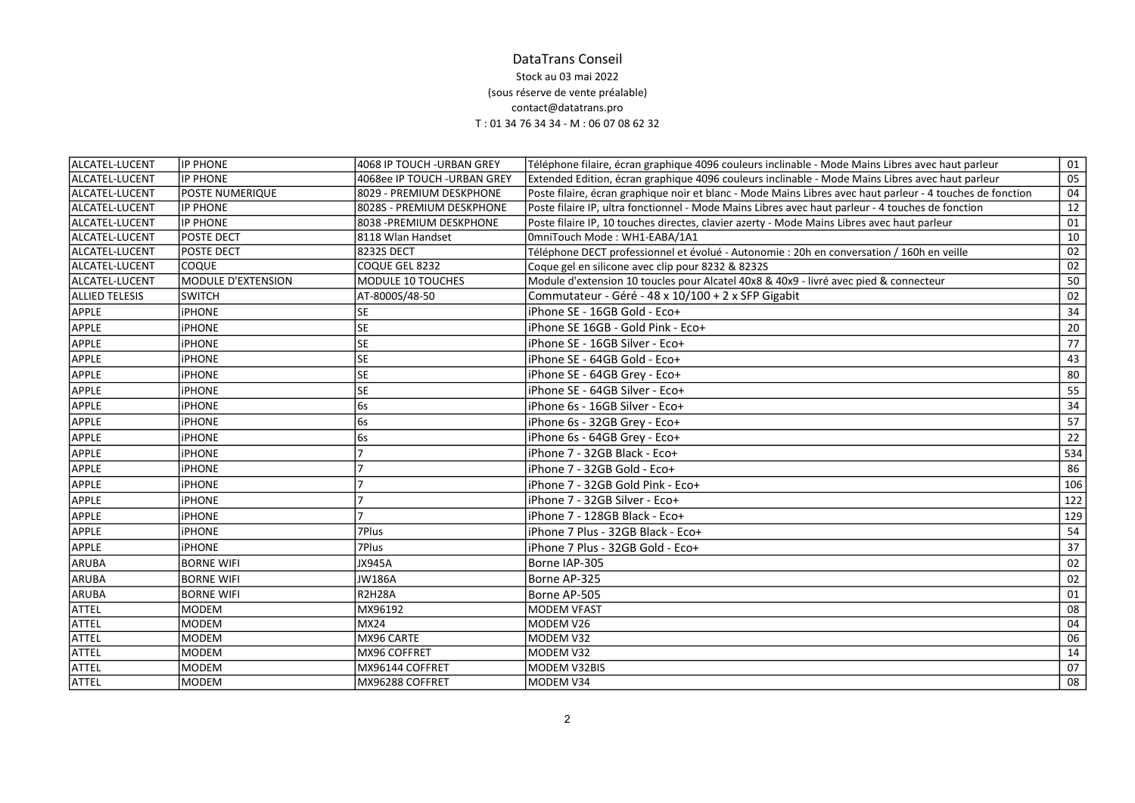| ALCATEL-LUCENT | <b>IP PHONE</b>           | 4068 IP TOUCH - URBAN GREY  | Téléphone filaire, écran graphique 4096 couleurs inclinable - Mode Mains Libres avec haut parleur          | 01  |
|----------------|---------------------------|-----------------------------|------------------------------------------------------------------------------------------------------------|-----|
| ALCATEL-LUCENT | <b>IP PHONE</b>           | 4068ee IP TOUCH -URBAN GREY | Extended Edition, écran graphique 4096 couleurs inclinable - Mode Mains Libres avec haut parleur           | 05  |
| ALCATEL-LUCENT | POSTE NUMERIQUE           | 8029 - PREMIUM DESKPHONE    | Poste filaire, écran graphique noir et blanc - Mode Mains Libres avec haut parleur - 4 touches de fonction | 04  |
| ALCATEL-LUCENT | <b>IP PHONE</b>           | 8028S - PREMIUM DESKPHONE   | Poste filaire IP, ultra fonctionnel - Mode Mains Libres avec haut parleur - 4 touches de fonction          | 12  |
| ALCATEL-LUCENT | <b>IP PHONE</b>           | 8038 -PREMIUM DESKPHONE     | Poste filaire IP, 10 touches directes, clavier azerty - Mode Mains Libres avec haut parleur                | 01  |
| ALCATEL-LUCENT | POSTE DECT                | 8118 Wlan Handset           | OmniTouch Mode: WH1-EABA/1A1                                                                               | 10  |
| ALCATEL-LUCENT | POSTE DECT                | 8232S DECT                  | Téléphone DECT professionnel et évolué - Autonomie : 20h en conversation / 160h en veille                  | 02  |
| ALCATEL-LUCENT | <b>COQUE</b>              | lCOQUE GEL 8232             | Coque gel en silicone avec clip pour 8232 & 8232S                                                          | 02  |
| ALCATEL-LUCENT | <b>MODULE D'EXTENSION</b> | MODULE 10 TOUCHES           | Module d'extension 10 toucles pour Alcatel 40x8 & 40x9 - livré avec pied & connecteur                      | 50  |
| ALLIED TELESIS | <b>SWITCH</b>             | AT-8000S/48-50              | Commutateur - Géré - 48 x 10/100 + 2 x SFP Gigabit                                                         | 02  |
| APPLE          | <b>iPHONE</b>             | <b>SE</b>                   | iPhone SE - 16GB Gold - Eco+                                                                               | 34  |
| <b>APPLE</b>   | <b>iPHONE</b>             | lse                         | iPhone SE 16GB - Gold Pink - Eco+                                                                          | 20  |
| <b>APPLE</b>   | <b>iPHONE</b>             | SE.                         | liPhone SE - 16GB Silver - Eco+                                                                            | 77  |
| <b>APPLE</b>   | <b>iPHONE</b>             | <b>SE</b>                   | liPhone SE - 64GB Gold - Eco+                                                                              | 43  |
| APPLE          | <b>iPHONE</b>             | lse                         | iPhone SE - 64GB Grey - Eco+                                                                               | 80  |
| <b>APPLE</b>   | <b>iPHONE</b>             | <b>SE</b>                   | iPhone SE - 64GB Silver - Eco+                                                                             | 55  |
| <b>APPLE</b>   | <b>iPHONE</b>             | 6s                          | iPhone 6s - 16GB Silver - Eco+                                                                             | 34  |
| APPLE          | <b>iPHONE</b>             | 6s                          | iPhone 6s - 32GB Grey - Eco+                                                                               | 57  |
| <b>APPLE</b>   | <b>iPHONE</b>             | 6s                          | iPhone 6s - 64GB Grey - Eco+                                                                               | 22  |
| APPLE          | <b>iPHONE</b>             |                             | liPhone 7 - 32GB Black - Eco+                                                                              | 534 |
| APPLE          | <b>iPHONE</b>             |                             | liPhone 7 - 32GB Gold - Eco+                                                                               | 86  |
| APPLE          | <b>iPHONE</b>             |                             | iPhone 7 - 32GB Gold Pink - Eco+                                                                           | 106 |
| <b>APPLE</b>   | <b>iPHONE</b>             |                             | iPhone 7 - 32GB Silver - Eco+                                                                              | 122 |
| <b>APPLE</b>   | <b>iPHONE</b>             |                             | iPhone 7 - 128GB Black - Eco+                                                                              | 129 |
| APPLE          | <b>iPHONE</b>             | 7Plus                       | liPhone 7 Plus - 32GB Black - Eco+                                                                         | 54  |
| APPLE          | <b>iPHONE</b>             | 7Plus                       | iPhone 7 Plus - 32GB Gold - Eco+                                                                           | 37  |
| ARUBA          | <b>BORNE WIFI</b>         | JX945A                      | Borne IAP-305                                                                                              | 02  |
| ARUBA          | <b>BORNE WIFI</b>         | <b>JW186A</b>               | Borne AP-325                                                                                               | 02  |
| ARUBA          | <b>BORNE WIFI</b>         | R2H28A                      | Borne AP-505                                                                                               | 01  |
| <b>ATTEL</b>   | <b>MODEM</b>              | MX96192                     | <b>MODEM VFAST</b>                                                                                         | 08  |
| <b>ATTEL</b>   | <b>MODEM</b>              | lmx24                       | MODEM V26                                                                                                  | 04  |
| ATTEL          | <b>MODEM</b>              | MX96 CARTE                  | MODEM V32                                                                                                  | 06  |
| <b>ATTEL</b>   | <b>MODEM</b>              | MX96 COFFRET                | MODEM V32                                                                                                  | 14  |
| <b>ATTEL</b>   | <b>MODEM</b>              | MX96144 COFFRET             | MODEM V32BIS                                                                                               | 07  |
| ATTEL          | <b>MODEM</b>              | MX96288 COFFRET             | MODEM V34                                                                                                  | 08  |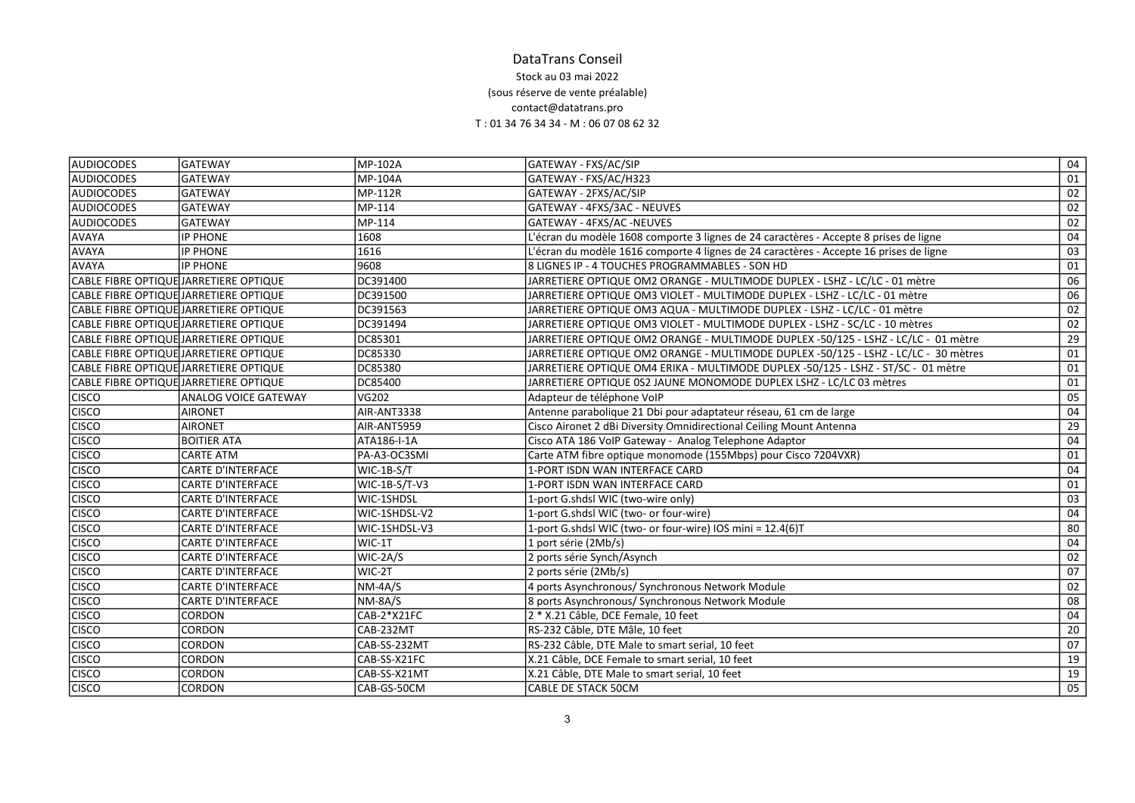| <b>AUDIOCODES</b> | lgateway                               | MP-102A        | GATEWAY - FXS/AC/SIP                                                                   | 04              |
|-------------------|----------------------------------------|----------------|----------------------------------------------------------------------------------------|-----------------|
| <b>AUDIOCODES</b> | <b>GATEWAY</b>                         | MP-104A        | GATEWAY - FXS/AC/H323                                                                  | 01              |
| <b>AUDIOCODES</b> | <b>GATEWAY</b>                         | <b>MP-112R</b> | GATEWAY - 2FXS/AC/SIP                                                                  | 02              |
| AUDIOCODES        | <b>GATEWAY</b>                         | MP-114         | GATEWAY - 4FXS/3AC - NEUVES                                                            | 02              |
| AUDIOCODES        | <b>GATEWAY</b>                         | MP-114         | GATEWAY - 4FXS/AC -NEUVES                                                              | 02              |
| <b>AVAYA</b>      | <b>IP PHONE</b>                        | 1608           | L'écran du modèle 1608 comporte 3 lignes de 24 caractères - Accepte 8 prises de ligne  | 04              |
| AVAYA             | <b>IP PHONE</b>                        | 1616           | L'écran du modèle 1616 comporte 4 lignes de 24 caractères - Accepte 16 prises de ligne | 03              |
| lavaya            | <b>IP PHONE</b>                        | 9608           | 8 LIGNES IP - 4 TOUCHES PROGRAMMABLES - SON HD                                         | 01              |
|                   | CABLE FIBRE OPTIQUE JARRETIERE OPTIQUE | DC391400       | JARRETIERE OPTIQUE OM2 ORANGE - MULTIMODE DUPLEX - LSHZ - LC/LC - 01 mètre             | 06              |
|                   | CABLE FIBRE OPTIQUE JARRETIERE OPTIQUE | DC391500       | JARRETIERE OPTIQUE OM3 VIOLET - MULTIMODE DUPLEX - LSHZ - LC/LC - 01 mètre             | 06              |
|                   | CABLE FIBRE OPTIQUE JARRETIERE OPTIQUE | DC391563       | JARRETIERE OPTIQUE OM3 AQUA - MULTIMODE DUPLEX - LSHZ - LC/LC - 01 mètre               | 02              |
|                   | CABLE FIBRE OPTIQUE JARRETIERE OPTIQUE | DC391494       | JARRETIERE OPTIQUE OM3 VIOLET - MULTIMODE DUPLEX - LSHZ - SC/LC - 10 mètres            | 02              |
|                   | CABLE FIBRE OPTIQUE JARRETIERE OPTIQUE | DC85301        | JARRETIERE OPTIQUE OM2 ORANGE - MULTIMODE DUPLEX -50/125 - LSHZ - LC/LC - 01 mètre     | 29              |
|                   | CABLE FIBRE OPTIQUE JARRETIERE OPTIQUE | DC85330        | JARRETIERE OPTIQUE OM2 ORANGE - MULTIMODE DUPLEX -50/125 - LSHZ - LC/LC - 30 mètres    | 01              |
|                   | CABLE FIBRE OPTIQUE JARRETIERE OPTIQUE | DC85380        | JARRETIERE OPTIQUE OM4 ERIKA - MULTIMODE DUPLEX -50/125 - LSHZ - ST/SC - 01 mètre      | 01              |
|                   | CABLE FIBRE OPTIQUE JARRETIERE OPTIQUE | DC85400        | JARRETIERE OPTIQUE 0S2 JAUNE MONOMODE DUPLEX LSHZ - LC/LC 03 mètres                    | 01              |
| <b>CISCO</b>      | <b>ANALOG VOICE GATEWAY</b>            | VG202          | Adapteur de téléphone VoIP                                                             | 05              |
| <b>CISCO</b>      | <b>AIRONET</b>                         | AIR-ANT3338    | Antenne parabolique 21 Dbi pour adaptateur réseau, 61 cm de large                      | 04              |
| <b>CISCO</b>      | <b>AIRONET</b>                         | AIR-ANT5959    | Cisco Aironet 2 dBi Diversity Omnidirectional Ceiling Mount Antenna                    | $\overline{29}$ |
| <b>CISCO</b>      | <b>BOITIER ATA</b>                     | ATA186-I-1A    | Cisco ATA 186 VoIP Gateway - Analog Telephone Adaptor                                  | 04              |
| <b>CISCO</b>      | <b>CARTE ATM</b>                       | PA-A3-OC3SMI   | Carte ATM fibre optique monomode (155Mbps) pour Cisco 7204VXR)                         | 01              |
| <b>CISCO</b>      | <b>CARTE D'INTERFACE</b>               | $WIC-1B-S/T$   | 1-PORT ISDN WAN INTERFACE CARD                                                         | 04              |
| <b>CISCO</b>      | <b>CARTE D'INTERFACE</b>               | WIC-1B-S/T-V3  | 1-PORT ISDN WAN INTERFACE CARD                                                         | 01              |
| <b>CISCO</b>      | <b>CARTE D'INTERFACE</b>               | WIC-1SHDSL     | 1-port G.shdsl WIC (two-wire only)                                                     | 03              |
| <b>CISCO</b>      | <b>CARTE D'INTERFACE</b>               | WIC-1SHDSL-V2  | 1-port G.shdsl WIC (two- or four-wire)                                                 | 04              |
| <b>CISCO</b>      | <b>CARTE D'INTERFACE</b>               | WIC-1SHDSL-V3  | 1-port G.shdsl WIC (two- or four-wire) IOS mini = 12.4(6)T                             | 80              |
| <b>CISCO</b>      | <b>CARTE D'INTERFACE</b>               | WIC-1T         | 1 port série (2Mb/s)                                                                   | 04              |
| <b>CISCO</b>      | <b>CARTE D'INTERFACE</b>               | $WIC-2A/S$     | 2 ports série Synch/Asynch                                                             | 02              |
| <b>CISCO</b>      | <b>CARTE D'INTERFACE</b>               | WIC-2T         | 2 ports série (2Mb/s)                                                                  | 07              |
| <b>CISCO</b>      | <b>CARTE D'INTERFACE</b>               | $NM-4A/S$      | 4 ports Asynchronous/ Synchronous Network Module                                       | 02              |
| <b>CISCO</b>      | <b>CARTE D'INTERFACE</b>               | $NM-8A/S$      | 8 ports Asynchronous/ Synchronous Network Module                                       | 08              |
| <b>CISCO</b>      | CORDON                                 | CAB-2*X21FC    | 2 * X.21 Câble, DCE Female, 10 feet                                                    | 04              |
| <b>CISCO</b>      | <b>CORDON</b>                          | CAB-232MT      | RS-232 Câble, DTE Mâle, 10 feet                                                        | 20              |
| <b>CISCO</b>      | CORDON                                 | CAB-SS-232MT   | RS-232 Câble, DTE Male to smart serial, 10 feet                                        | 07              |
| <b>CISCO</b>      | CORDON                                 | CAB-SS-X21FC   | X.21 Câble, DCE Female to smart serial, 10 feet                                        | 19              |
| <b>CISCO</b>      | CORDON                                 | CAB-SS-X21MT   | X.21 Câble, DTE Male to smart serial, 10 feet                                          | 19              |
| <b>CISCO</b>      | <b>CORDON</b>                          | CAB-GS-50CM    | CABLE DE STACK 50CM                                                                    | 05              |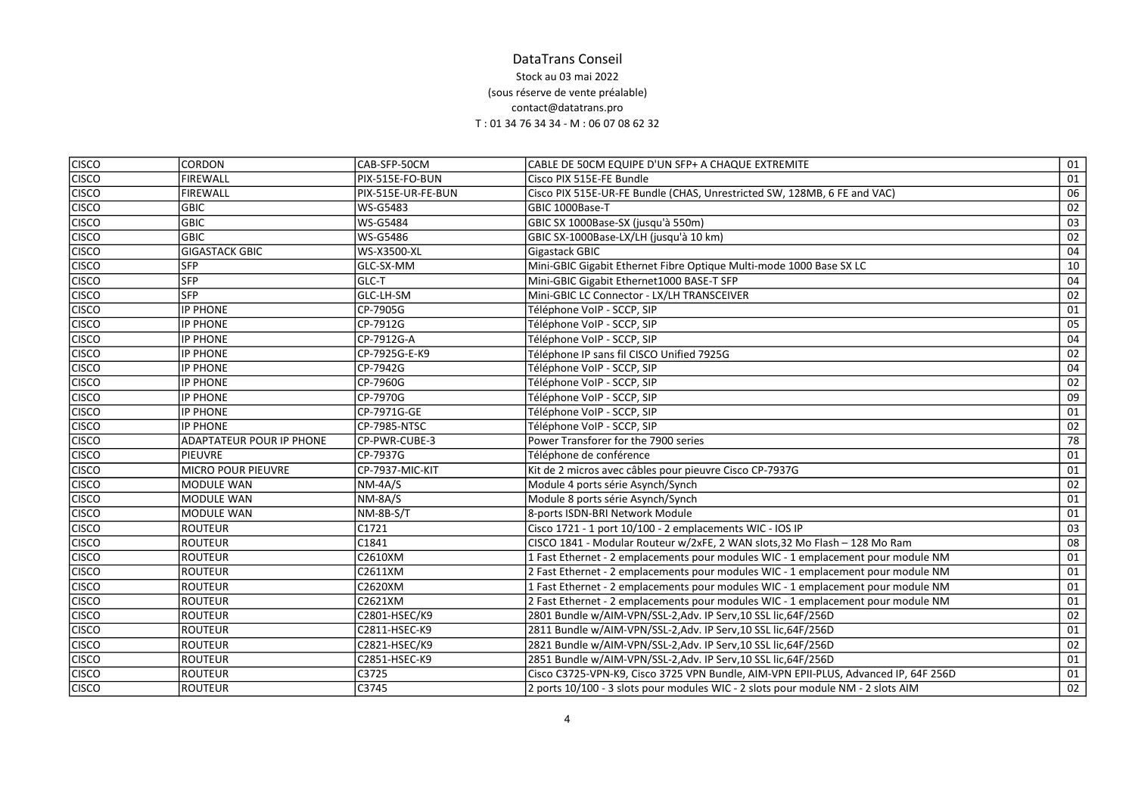| <b>CISCO</b>         | <b>CORDON</b>                   | CAB-SFP-50CM        | CABLE DE 50CM EQUIPE D'UN SFP+ A CHAQUE EXTREMITE                                   | 01 |
|----------------------|---------------------------------|---------------------|-------------------------------------------------------------------------------------|----|
| <b>CISCO</b>         | <b>FIREWALL</b>                 | PIX-515E-FO-BUN     | Cisco PIX 515E-FE Bundle                                                            | 01 |
| <b>CISCO</b>         | <b>FIREWALL</b>                 | PIX-515E-UR-FE-BUN  | Cisco PIX 515E-UR-FE Bundle (CHAS, Unrestricted SW, 128MB, 6 FE and VAC)            | 06 |
| <b>CISCO</b>         | <b>GBIC</b>                     | WS-G5483            | GBIC 1000Base-T                                                                     | 02 |
| <b>CISCO</b>         | <b>GBIC</b>                     | WS-G5484            | GBIC SX 1000Base-SX (jusqu'à 550m)                                                  | 03 |
| <b>CISCO</b>         | <b>GBIC</b>                     | WS-G5486            | GBIC SX-1000Base-LX/LH (jusqu'à 10 km)                                              | 02 |
| <b>CISCO</b>         | <b>GIGASTACK GBIC</b>           | WS-X3500-XL         | Gigastack GBIC                                                                      | 04 |
| <b>CISCO</b>         | <b>SFP</b>                      | GLC-SX-MM           | Mini-GBIC Gigabit Ethernet Fibre Optique Multi-mode 1000 Base SX LC                 | 10 |
| <b>CISCO</b>         | <b>SFP</b>                      | GLC-T               | Mini-GBIC Gigabit Ethernet1000 BASE-T SFP                                           | 04 |
| <b>CISCO</b>         | <b>SFP</b>                      | GLC-LH-SM           | Mini-GBIC LC Connector - LX/LH TRANSCEIVER                                          | 02 |
| <b>CISCO</b>         | <b>IP PHONE</b>                 | CP-7905G            | Téléphone VoIP - SCCP, SIP                                                          | 01 |
| $\overline{\text{C}$ | <b>IP PHONE</b>                 | CP-7912G            | Téléphone VoIP - SCCP, SIP                                                          | 05 |
| <b>CISCO</b>         | <b>IP PHONE</b>                 | CP-7912G-A          | Téléphone VoIP - SCCP, SIP                                                          | 04 |
| <b>CISCO</b>         | <b>IP PHONE</b>                 | CP-7925G-E-K9       | Téléphone IP sans fil CISCO Unified 7925G                                           | 02 |
| <b>CISCO</b>         | <b>IP PHONE</b>                 | CP-7942G            | Téléphone VoIP - SCCP, SIP                                                          | 04 |
| <b>CISCO</b>         | <b>IP PHONE</b>                 | CP-7960G            | Téléphone VoIP - SCCP, SIP                                                          | 02 |
| <b>CISCO</b>         | <b>IP PHONE</b>                 | CP-7970G            | Téléphone VoIP - SCCP, SIP                                                          | 09 |
| <b>CISCO</b>         | <b>IP PHONE</b>                 | CP-7971G-GE         | Téléphone VoIP - SCCP, SIP                                                          | 01 |
| <b>CISCO</b>         | <b>IP PHONE</b>                 | <b>CP-7985-NTSC</b> | Téléphone VoIP - SCCP, SIP                                                          | 02 |
| <b>CISCO</b>         | <b>ADAPTATEUR POUR IP PHONE</b> | CP-PWR-CUBE-3       | Power Transforer for the 7900 series                                                | 78 |
| <b>CISCO</b>         | <b>PIEUVRE</b>                  | CP-7937G            | Téléphone de conférence                                                             | 01 |
| <b>CISCO</b>         | <b>MICRO POUR PIEUVRE</b>       | CP-7937-MIC-KIT     | Kit de 2 micros avec câbles pour pieuvre Cisco CP-7937G                             | 01 |
| <b>CISCO</b>         | MODULE WAN                      | $NM-4A/S$           | Module 4 ports série Asynch/Synch                                                   | 02 |
| <b>CISCO</b>         | <b>MODULE WAN</b>               | $NM-8A/S$           | Module 8 ports série Asynch/Synch                                                   | 01 |
| <b>CISCO</b>         | <b>MODULE WAN</b>               | NM-8B-S/T           | 8-ports ISDN-BRI Network Module                                                     | 01 |
| <b>CISCO</b>         | ROUTEUR                         | C1721               | Cisco 1721 - 1 port 10/100 - 2 emplacements WIC - IOS IP                            | 03 |
| <b>CISCO</b>         | <b>ROUTEUR</b>                  | C1841               | CISCO 1841 - Modular Routeur w/2xFE, 2 WAN slots, 32 Mo Flash - 128 Mo Ram          | 08 |
| <b>CISCO</b>         | <b>ROUTEUR</b>                  | C2610XM             | 1 Fast Ethernet - 2 emplacements pour modules WIC - 1 emplacement pour module NM    | 01 |
| <b>CISCO</b>         | <b>ROUTEUR</b>                  | C2611XM             | 2 Fast Ethernet - 2 emplacements pour modules WIC - 1 emplacement pour module NM    | 01 |
| <b>CISCO</b>         | <b>ROUTEUR</b>                  | C2620XM             | 1 Fast Ethernet - 2 emplacements pour modules WIC - 1 emplacement pour module NM    | 01 |
| <b>CISCO</b>         | <b>ROUTEUR</b>                  | C2621XM             | 2 Fast Ethernet - 2 emplacements pour modules WIC - 1 emplacement pour module NM    | 01 |
| <b>CISCO</b>         | <b>ROUTEUR</b>                  | C2801-HSEC/K9       | 2801 Bundle w/AIM-VPN/SSL-2,Adv. IP Serv,10 SSL lic,64F/256D                        | 02 |
| <b>CISCO</b>         | <b>ROUTEUR</b>                  | C2811-HSEC-K9       | 2811 Bundle w/AIM-VPN/SSL-2,Adv. IP Serv,10 SSL lic,64F/256D                        | 01 |
| <b>CISCO</b>         | <b>ROUTEUR</b>                  | C2821-HSEC/K9       | 2821 Bundle w/AIM-VPN/SSL-2,Adv. IP Serv,10 SSL lic,64F/256D                        | 02 |
| <b>CISCO</b>         | <b>ROUTEUR</b>                  | C2851-HSEC-K9       | 2851 Bundle w/AIM-VPN/SSL-2,Adv. IP Serv,10 SSL lic,64F/256D                        | 01 |
| <b>CISCO</b>         | <b>ROUTEUR</b>                  | C3725               | Cisco C3725-VPN-K9, Cisco 3725 VPN Bundle, AIM-VPN EPII-PLUS, Advanced IP, 64F 256D | 01 |
| <b>CISCO</b>         | ROUTEUR                         | C3745               | 2 ports 10/100 - 3 slots pour modules WIC - 2 slots pour module NM - 2 slots AIM    | 02 |
|                      |                                 |                     |                                                                                     |    |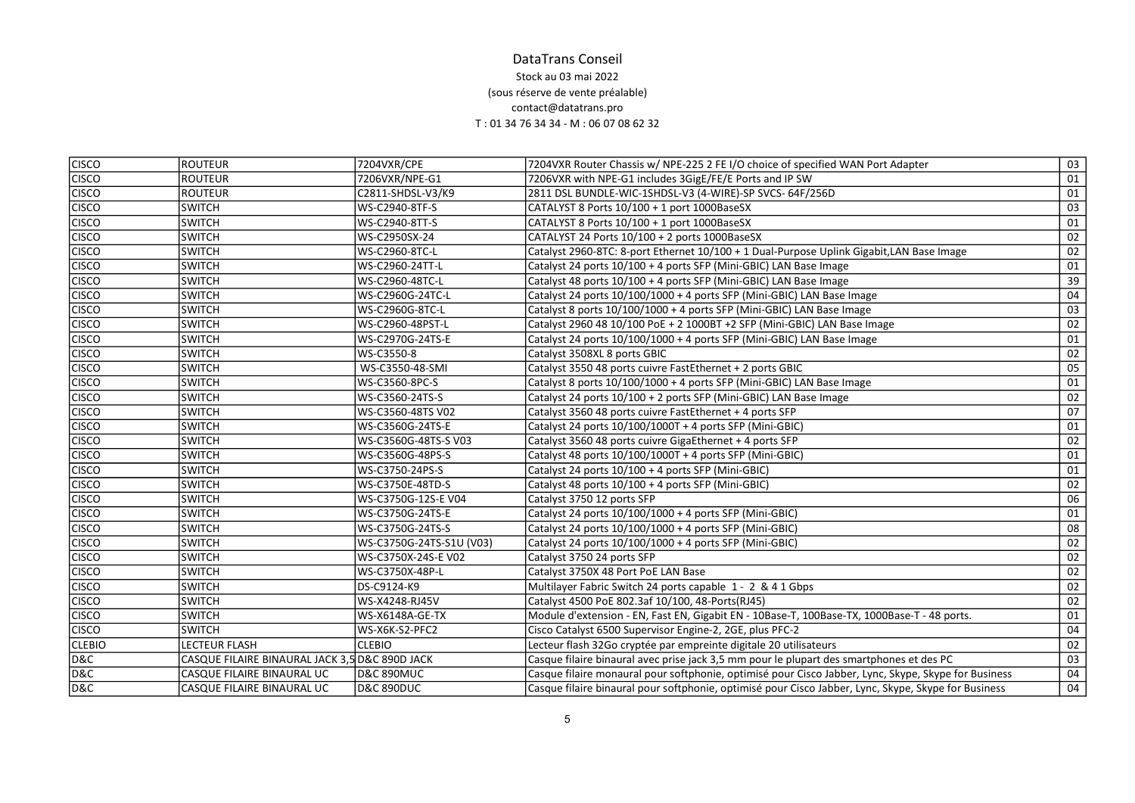| <b>CISCO</b>              | ROUTEUR                                        | 7204VXR/CPE              | 7204VXR Router Chassis w/ NPE-225 2 FE I/O choice of specified WAN Port Adapter                      | 03              |
|---------------------------|------------------------------------------------|--------------------------|------------------------------------------------------------------------------------------------------|-----------------|
| <b>CISCO</b>              | <b>ROUTEUR</b>                                 | 7206VXR/NPE-G1           | 7206VXR with NPE-G1 includes 3GigE/FE/E Ports and IP SW                                              | 01              |
| <b>CISCO</b>              | <b>ROUTEUR</b>                                 | C2811-SHDSL-V3/K9        | 2811 DSL BUNDLE-WIC-1SHDSL-V3 (4-WIRE)-SP SVCS- 64F/256D                                             | 01              |
| $\overline{\text{CISCO}}$ | <b>SWITCH</b>                                  | WS-C2940-8TF-S           | CATALYST 8 Ports 10/100 + 1 port 1000BaseSX                                                          | 03              |
| <b>CISCO</b>              | <b>SWITCH</b>                                  | WS-C2940-8TT-S           | CATALYST 8 Ports 10/100 + 1 port 1000BaseSX                                                          | 01              |
| <b>CISCO</b>              | <b>SWITCH</b>                                  | WS-C2950SX-24            | CATALYST 24 Ports 10/100 + 2 ports 1000BaseSX                                                        | 02              |
| <b>CISCO</b>              | <b>SWITCH</b>                                  | WS-C2960-8TC-L           | Catalyst 2960-8TC: 8-port Ethernet 10/100 + 1 Dual-Purpose Uplink Gigabit, LAN Base Image            | 02              |
| <b>CISCO</b>              | <b>SWITCH</b>                                  | WS-C2960-24TT-L          | Catalyst 24 ports 10/100 + 4 ports SFP (Mini-GBIC) LAN Base Image                                    | 01              |
| <b>CISCO</b>              | <b>SWITCH</b>                                  | WS-C2960-48TC-L          | Catalyst 48 ports 10/100 + 4 ports SFP (Mini-GBIC) LAN Base Image                                    | $\overline{39}$ |
| <b>CISCO</b>              | <b>SWITCH</b>                                  | WS-C2960G-24TC-L         | Catalyst 24 ports 10/100/1000 + 4 ports SFP (Mini-GBIC) LAN Base Image                               | 04              |
| <b>CISCO</b>              | <b>SWITCH</b>                                  | WS-C2960G-8TC-L          | Catalyst 8 ports 10/100/1000 + 4 ports SFP (Mini-GBIC) LAN Base Image                                | 03              |
| <b>CISCO</b>              | <b>SWITCH</b>                                  | WS-C2960-48PST-L         | Catalyst 2960 48 10/100 PoE + 2 1000BT +2 SFP (Mini-GBIC) LAN Base Image                             | 02              |
| <b>CISCO</b>              | <b>SWITCH</b>                                  | WS-C2970G-24TS-E         | Catalyst 24 ports 10/100/1000 + 4 ports SFP (Mini-GBIC) LAN Base Image                               | 01              |
| <b>CISCO</b>              | <b>SWITCH</b>                                  | WS-C3550-8               | Catalyst 3508XL 8 ports GBIC                                                                         | 02              |
| <b>CISCO</b>              | <b>SWITCH</b>                                  | WS-C3550-48-SMI          | Catalyst 3550 48 ports cuivre FastEthernet + 2 ports GBIC                                            | 05              |
| <b>CISCO</b>              | <b>SWITCH</b>                                  | WS-C3560-8PC-S           | Catalyst 8 ports 10/100/1000 + 4 ports SFP (Mini-GBIC) LAN Base Image                                | 01              |
| <b>CISCO</b>              | <b>SWITCH</b>                                  | WS-C3560-24TS-S          | Catalyst 24 ports 10/100 + 2 ports SFP (Mini-GBIC) LAN Base Image                                    | 02              |
| <b>CISCO</b>              | <b>SWITCH</b>                                  | WS-C3560-48TS V02        | Catalyst 3560 48 ports cuivre FastEthernet + 4 ports SFP                                             | 07              |
| <b>CISCO</b>              | <b>SWITCH</b>                                  | WS-C3560G-24TS-E         | Catalyst 24 ports 10/100/1000T + 4 ports SFP (Mini-GBIC)                                             | 01              |
| <b>CISCO</b>              | <b>SWITCH</b>                                  | WS-C3560G-48TS-S V03     | Catalyst 3560 48 ports cuivre GigaEthernet + 4 ports SFP                                             | 02              |
| <b>CISCO</b>              | <b>SWITCH</b>                                  | WS-C3560G-48PS-S         | Catalyst 48 ports 10/100/1000T + 4 ports SFP (Mini-GBIC)                                             | 01              |
| <b>CISCO</b>              | <b>SWITCH</b>                                  | WS-C3750-24PS-S          | Catalyst 24 ports 10/100 + 4 ports SFP (Mini-GBIC)                                                   | 01              |
| <b>CISCO</b>              | <b>SWITCH</b>                                  | WS-C3750E-48TD-S         | Catalyst 48 ports 10/100 + 4 ports SFP (Mini-GBIC)                                                   | 02              |
| <b>CISCO</b>              | <b>SWITCH</b>                                  | WS-C3750G-12S-E V04      | Catalyst 3750 12 ports SFP                                                                           | 06              |
| <b>CISCO</b>              | <b>SWITCH</b>                                  | WS-C3750G-24TS-E         | Catalyst 24 ports 10/100/1000 + 4 ports SFP (Mini-GBIC)                                              | 01              |
| <b>CISCO</b>              | <b>SWITCH</b>                                  | WS-C3750G-24TS-S         | Catalyst 24 ports 10/100/1000 + 4 ports SFP (Mini-GBIC)                                              | 08              |
| <b>CISCO</b>              | <b>SWITCH</b>                                  | WS-C3750G-24TS-S1U (V03) | Catalyst 24 ports 10/100/1000 + 4 ports SFP (Mini-GBIC)                                              | 02              |
| <b>CISCO</b>              | <b>SWITCH</b>                                  | WS-C3750X-24S-E V02      | Catalyst 3750 24 ports SFP                                                                           | 02              |
| <b>CISCO</b>              | <b>SWITCH</b>                                  | WS-C3750X-48P-L          | Catalyst 3750X 48 Port PoE LAN Base                                                                  | 02              |
| <b>CISCO</b>              | <b>SWITCH</b>                                  | DS-C9124-K9              | Multilayer Fabric Switch 24 ports capable 1 - 2 & 4 1 Gbps                                           | 02              |
| <b>CISCO</b>              | <b>SWITCH</b>                                  | WS-X4248-RJ45V           | Catalyst 4500 PoE 802.3af 10/100, 48-Ports(RJ45)                                                     | 02              |
| <b>CISCO</b>              | <b>SWITCH</b>                                  | WS-X6148A-GE-TX          | Module d'extension - EN, Fast EN, Gigabit EN - 10Base-T, 100Base-TX, 1000Base-T - 48 ports.          | 01              |
| <b>CISCO</b>              | <b>SWITCH</b>                                  | WS-X6K-S2-PFC2           | Cisco Catalyst 6500 Supervisor Engine-2, 2GE, plus PFC-2                                             | 04              |
| <b>CLEBIO</b>             | LECTEUR FLASH                                  | <b>CLEBIO</b>            | Lecteur flash 32Go cryptée par empreinte digitale 20 utilisateurs                                    | 02              |
| D&C                       | CASQUE FILAIRE BINAURAL JACK 3,5 D&C 890D JACK |                          | Casque filaire binaural avec prise jack 3,5 mm pour le plupart des smartphones et des PC             | 03              |
| D&C                       | CASQUE FILAIRE BINAURAL UC                     | <b>D&amp;C 890MUC</b>    | Casque filaire monaural pour softphonie, optimisé pour Cisco Jabber, Lync, Skype, Skype for Business | 04              |
| D&C                       | CASQUE FILAIRE BINAURAL UC                     | <b>D&amp;C 890DUC</b>    | Casque filaire binaural pour softphonie, optimisé pour Cisco Jabber, Lync, Skype, Skype for Business | 04              |
|                           |                                                |                          |                                                                                                      |                 |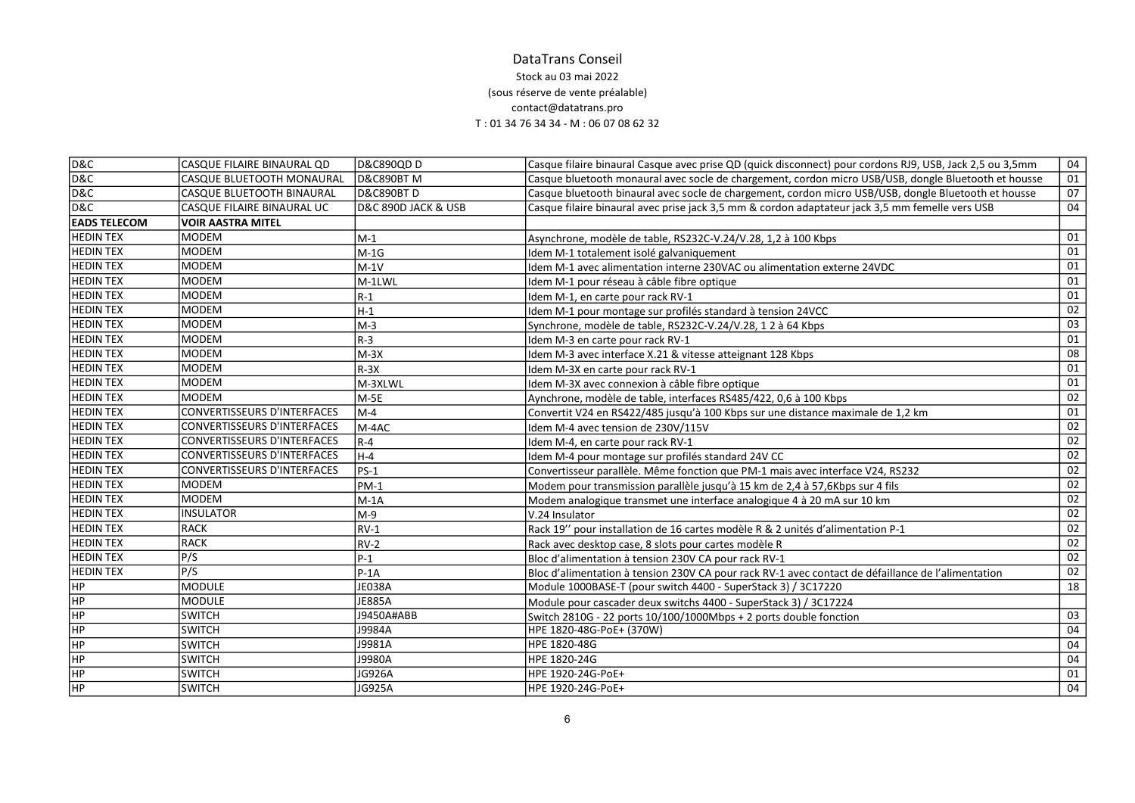| <b>D&amp;C</b>      | CASQUE FILAIRE BINAURAL QD         | D&C890QD D          | Casque filaire binaural Casque avec prise QD (quick disconnect) pour cordons RJ9, USB, Jack 2,5 ou 3,5mm | 04 |
|---------------------|------------------------------------|---------------------|----------------------------------------------------------------------------------------------------------|----|
| D&C                 | CASQUE BLUETOOTH MONAURAL          | D&C890BT M          | Casque bluetooth monaural avec socle de chargement, cordon micro USB/USB, dongle Bluetooth et housse     | 01 |
| D&C                 | CASQUE BLUETOOTH BINAURAL          | D&C890BT D          | Casque bluetooth binaural avec socle de chargement, cordon micro USB/USB, dongle Bluetooth et housse     | 07 |
| D&C                 | CASQUE FILAIRE BINAURAL UC         | D&C 890D JACK & USB | Casque filaire binaural avec prise jack 3,5 mm & cordon adaptateur jack 3,5 mm femelle vers USB          | 04 |
| <b>EADS TELECOM</b> | <b>VOIR AASTRA MITEL</b>           |                     |                                                                                                          |    |
| <b>HEDIN TEX</b>    | <b>MODEM</b>                       | $M-1$               | Asynchrone, modèle de table, RS232C-V.24/V.28, 1,2 à 100 Kbps                                            | 01 |
| <b>HEDIN TEX</b>    | <b>MODEM</b>                       | $M-1G$              | Idem M-1 totalement isolé galvaniquement                                                                 | 01 |
| <b>HEDIN TEX</b>    | <b>MODEM</b>                       | $M-1V$              | Idem M-1 avec alimentation interne 230VAC ou alimentation externe 24VDC                                  | 01 |
| <b>HEDIN TEX</b>    | <b>MODEM</b>                       | M-1LWL              | Idem M-1 pour réseau à câble fibre optique                                                               | 01 |
| HEDIN TEX           | <b>MODEM</b>                       | $R-1$               | Idem M-1, en carte pour rack RV-1                                                                        | 01 |
| HEDIN TEX           | lmodem                             | $H-1$               | Idem M-1 pour montage sur profilés standard à tension 24VCC                                              | 02 |
| HEDIN TEX           | MODEM                              | $M-3$               | Synchrone, modèle de table, RS232C-V.24/V.28, 1 2 à 64 Kbps                                              | 03 |
| <b>HEDIN TEX</b>    | <b>MODEM</b>                       | $R-3$               | Idem M-3 en carte pour rack RV-1                                                                         | 01 |
| HEDIN TEX           | <b>MODEM</b>                       | $M-3X$              | Idem M-3 avec interface X.21 & vitesse atteignant 128 Kbps                                               | 08 |
| <b>HEDIN TEX</b>    | <b>MODEM</b>                       | $R-3X$              | Idem M-3X en carte pour rack RV-1                                                                        | 01 |
| HEDIN TEX           | <b>MODEM</b>                       | M-3XLWL             | Idem M-3X avec connexion à câble fibre optique                                                           | 01 |
| HEDIN TEX           | <b>MODEM</b>                       | $M-5E$              | Aynchrone, modèle de table, interfaces RS485/422, 0,6 à 100 Kbps                                         | 02 |
| HEDIN TEX           | <b>CONVERTISSEURS D'INTERFACES</b> | lM-4                | Convertit V24 en RS422/485 jusqu'à 100 Kbps sur une distance maximale de 1,2 km                          | 01 |
| HEDIN TEX           | <b>CONVERTISSEURS D'INTERFACES</b> | M-4AC               | Idem M-4 avec tension de 230V/115V                                                                       | 02 |
| HEDIN TEX           | <b>CONVERTISSEURS D'INTERFACES</b> | IR-4                | Idem M-4, en carte pour rack RV-1                                                                        | 02 |
| HEDIN TEX           | <b>CONVERTISSEURS D'INTERFACES</b> | H-4                 | Idem M-4 pour montage sur profilés standard 24V CC                                                       | 02 |
| HEDIN TEX           | <b>CONVERTISSEURS D'INTERFACES</b> | $PS-1$              | Convertisseur parallèle. Même fonction que PM-1 mais avec interface V24, RS232                           | 02 |
| HEDIN TEX           | <b>MODEM</b>                       | <b>PM-1</b>         | Modem pour transmission parallèle jusqu'à 15 km de 2,4 à 57,6Kbps sur 4 fils                             | 02 |
| HEDIN TEX           | <b>MODEM</b>                       | $M-1A$              | Modem analogique transmet une interface analogique 4 à 20 mA sur 10 km                                   | 02 |
| HEDIN TEX           | <b>INSULATOR</b>                   | $M-9$               | V.24 Insulator                                                                                           | 02 |
| <b>HEDIN TEX</b>    | RACK                               | $RV-1$              | Rack 19" pour installation de 16 cartes modèle R & 2 unités d'alimentation P-1                           | 02 |
| <b>HEDIN TEX</b>    | RACK                               | $RV-2$              | Rack avec desktop case, 8 slots pour cartes modèle R                                                     | 02 |
| HEDIN TEX           | P/S                                | $P-1$               | Bloc d'alimentation à tension 230V CA pour rack RV-1                                                     | 02 |
| HEDIN TEX           | P/S                                | $P-1A$              | Bloc d'alimentation à tension 230V CA pour rack RV-1 avec contact de défaillance de l'alimentation       | 02 |
| HP                  | <b>MODULE</b>                      | <b>JE038A</b>       | Module 1000BASE-T (pour switch 4400 - SuperStack 3) / 3C17220                                            | 18 |
| <b>HP</b>           | <b>MODULE</b>                      | <b>JE885A</b>       | Module pour cascader deux switchs 4400 - SuperStack 3) / 3C17224                                         |    |
| Інp                 | <b>SWITCH</b>                      | J9450A#ABB          | Switch 2810G - 22 ports 10/100/1000Mbps + 2 ports double fonction                                        | 03 |
| HP                  | <b>SWITCH</b>                      | J9984A              | HPE 1820-48G-PoE+ (370W)                                                                                 | 04 |
| HP                  | <b>SWITCH</b>                      | J9981A              | HPE 1820-48G                                                                                             | 04 |
| <b>HP</b>           | <b>SWITCH</b>                      | J9980A              | HPE 1820-24G                                                                                             | 04 |
| HP                  | <b>SWITCH</b>                      | JG926A              | HPE 1920-24G-PoE+                                                                                        | 01 |
| Інр                 | lswitch                            | <b>JG925A</b>       | HPE 1920-24G-PoE+                                                                                        | 04 |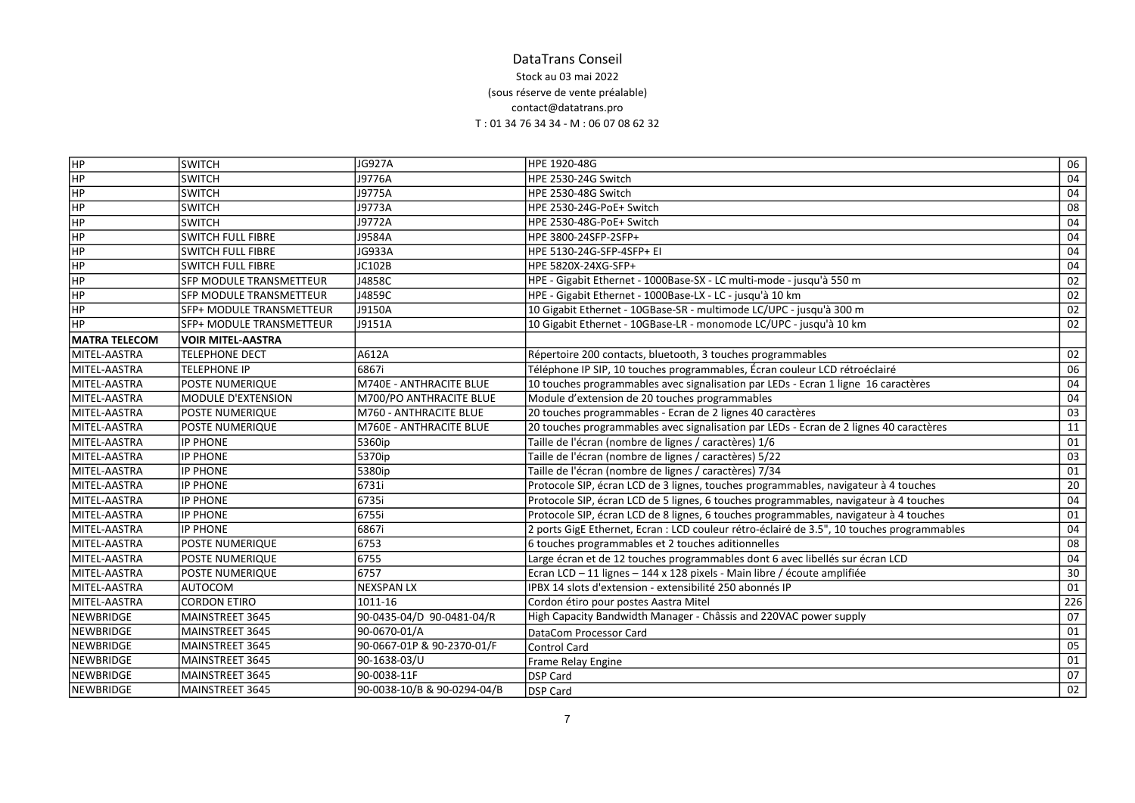| HP                  | lswitch                  | <b>JG927A</b>               | HPE 1920-48G                                                                               | 06  |
|---------------------|--------------------------|-----------------------------|--------------------------------------------------------------------------------------------|-----|
| HP                  | <b>SWITCH</b>            | J9776A                      | HPE 2530-24G Switch                                                                        | 04  |
| HP                  | <b>SWITCH</b>            | J9775A                      | HPE 2530-48G Switch                                                                        | 04  |
| HP                  | lswitch                  | J9773A                      | HPE 2530-24G-PoE+ Switch                                                                   | 08  |
| HP                  | <b>SWITCH</b>            | J9772A                      | HPE 2530-48G-PoE+ Switch                                                                   | 04  |
| HP                  | <b>SWITCH FULL FIBRE</b> | J9584A                      | HPE 3800-24SFP-2SFP+                                                                       | 04  |
| HP                  | <b>SWITCH FULL FIBRE</b> | JG933A                      | HPE 5130-24G-SFP-4SFP+ EI                                                                  | 04  |
| HP                  | <b>SWITCH FULL FIBRE</b> | JC102B                      | HPE 5820X-24XG-SFP+                                                                        | 04  |
| HP                  | SFP MODULE TRANSMETTEUR  | J4858C                      | HPE - Gigabit Ethernet - 1000Base-SX - LC multi-mode - jusqu'à 550 m                       | 02  |
| HP                  | SFP MODULE TRANSMETTEUR  | J4859C                      | HPE - Gigabit Ethernet - 1000Base-LX - LC - jusqu'à 10 km                                  | 02  |
| HP                  | SFP+ MODULE TRANSMETTEUR | J9150A                      | 10 Gigabit Ethernet - 10GBase-SR - multimode LC/UPC - jusqu'à 300 m                        | 02  |
| Інр                 | SFP+ MODULE TRANSMETTEUR | J9151A                      | 10 Gigabit Ethernet - 10GBase-LR - monomode LC/UPC - jusqu'à 10 km                         | 02  |
| MATRA TELECOM       | <b>VOIR MITEL-AASTRA</b> |                             |                                                                                            |     |
| MITEL-AASTRA        | <b>TELEPHONE DECT</b>    | A612A                       | Répertoire 200 contacts, bluetooth, 3 touches programmables                                | 02  |
| MITEL-AASTRA        | <b>TELEPHONE IP</b>      | 6867i                       | Téléphone IP SIP, 10 touches programmables, Écran couleur LCD rétroéclairé                 | 06  |
| MITEL-AASTRA        | POSTE NUMERIQUE          | M740E - ANTHRACITE BLUE     | 10 touches programmables avec signalisation par LEDs - Ecran 1 ligne 16 caractères         | 04  |
| MITEL-AASTRA        | MODULE D'EXTENSION       | M700/PO ANTHRACITE BLUE     | Module d'extension de 20 touches programmables                                             | 04  |
| MITEL-AASTRA        | <b>POSTE NUMERIQUE</b>   | M760 - ANTHRACITE BLUE      | 20 touches programmables - Ecran de 2 lignes 40 caractères                                 | 03  |
| MITEL-AASTRA        | <b>POSTE NUMERIQUE</b>   | M760E - ANTHRACITE BLUE     | 20 touches programmables avec signalisation par LEDs - Ecran de 2 lignes 40 caractères     | 11  |
| <b>MITEL-AASTRA</b> | <b>IP PHONE</b>          | 5360ip                      | Taille de l'écran (nombre de lignes / caractères) 1/6                                      | 01  |
| MITEL-AASTRA        | <b>IP PHONE</b>          | 5370ip                      | Taille de l'écran (nombre de lignes / caractères) 5/22                                     | 03  |
| MITEL-AASTRA        | <b>IP PHONE</b>          | 5380ip                      | Taille de l'écran (nombre de lignes / caractères) 7/34                                     | 01  |
| MITEL-AASTRA        | <b>IP PHONE</b>          | 6731i                       | Protocole SIP, écran LCD de 3 lignes, touches programmables, navigateur à 4 touches        | 20  |
| MITEL-AASTRA        | <b>IP PHONE</b>          | 6735i                       | Protocole SIP, écran LCD de 5 lignes, 6 touches programmables, navigateur à 4 touches      | 04  |
| MITEL-AASTRA        | <b>IP PHONE</b>          | 6755i                       | Protocole SIP, écran LCD de 8 lignes, 6 touches programmables, navigateur à 4 touches      | 01  |
| MITEL-AASTRA        | <b>IP PHONE</b>          | 6867i                       | 2 ports GigE Ethernet, Ecran : LCD couleur rétro-éclairé de 3.5", 10 touches programmables | 04  |
| MITEL-AASTRA        | POSTE NUMERIQUE          | 6753                        | 6 touches programmables et 2 touches aditionnelles                                         | 08  |
| <b>MITEL-AASTRA</b> | <b>POSTE NUMERIQUE</b>   | 6755                        | Large écran et de 12 touches programmables dont 6 avec libellés sur écran LCD              | 04  |
| MITEL-AASTRA        | POSTE NUMERIQUE          | 6757                        | Ecran LCD - 11 lignes - 144 x 128 pixels - Main libre / écoute amplifiée                   | 30  |
| MITEL-AASTRA        | AUTOCOM                  | <b>NEXSPAN LX</b>           | IPBX 14 slots d'extension - extensibilité 250 abonnés IP                                   | 01  |
| <b>MITEL-AASTRA</b> | <b>CORDON ETIRO</b>      | 1011-16                     | Cordon étiro pour postes Aastra Mitel                                                      | 226 |
| NEWBRIDGE           | MAINSTREET 3645          | 90-0435-04/D 90-0481-04/R   | High Capacity Bandwidth Manager - Châssis and 220VAC power supply                          | 07  |
| NEWBRIDGE           | MAINSTREET 3645          | 90-0670-01/A                | DataCom Processor Card                                                                     | 01  |
| NEWBRIDGE           | MAINSTREET 3645          | 90-0667-01P & 90-2370-01/F  | Control Card                                                                               | 05  |
| NEWBRIDGE           | MAINSTREET 3645          | 90-1638-03/U                | Frame Relay Engine                                                                         | 01  |
| NEWBRIDGE           | MAINSTREET 3645          | 90-0038-11F                 | <b>DSP Card</b>                                                                            | 07  |
| <b>INEWBRIDGE</b>   | MAINSTREET 3645          | 90-0038-10/B & 90-0294-04/B | <b>DSP Card</b>                                                                            | 02  |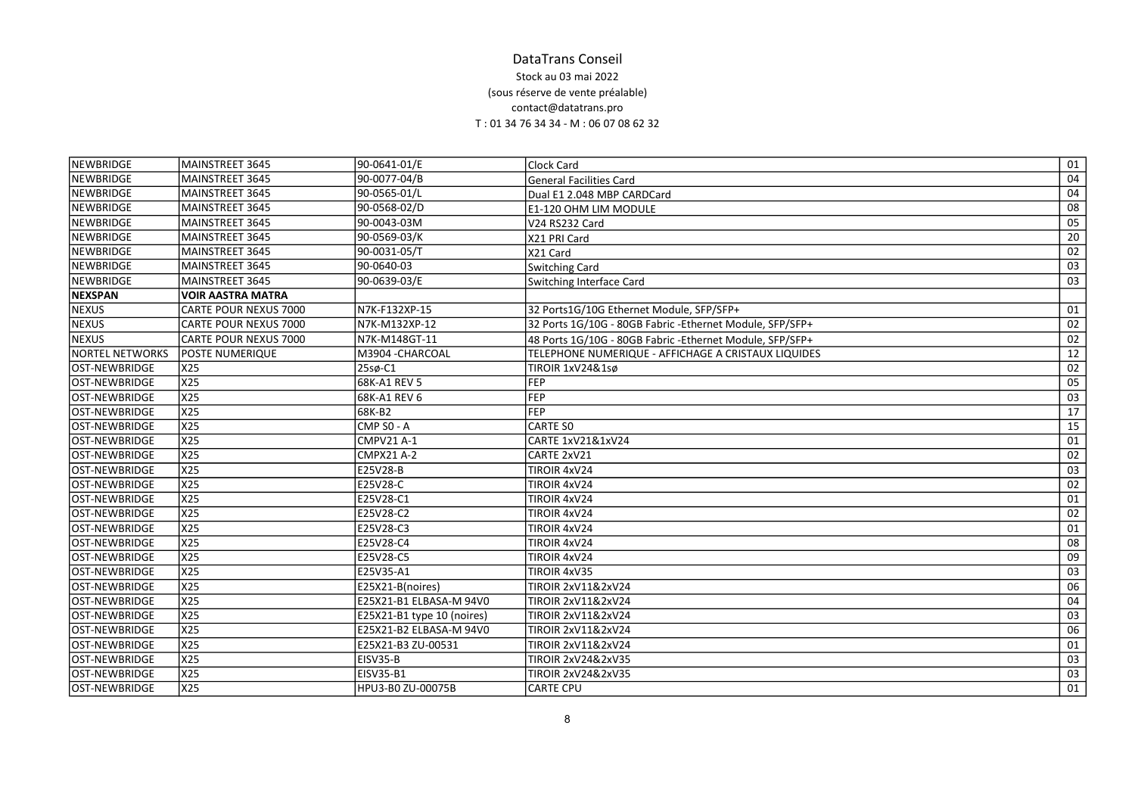| NEWBRIDGE              | MAINSTREET 3645          | 90-0641-01/E               | Clock Card                                                | 01 |
|------------------------|--------------------------|----------------------------|-----------------------------------------------------------|----|
| NEWBRIDGE              | MAINSTREET 3645          | 90-0077-04/B               | <b>General Facilities Card</b>                            | 04 |
| NEWBRIDGE              | MAINSTREET 3645          | 90-0565-01/L               | Dual E1 2.048 MBP CARDCard                                | 04 |
| NEWBRIDGE              | MAINSTREET 3645          | 90-0568-02/D               | E1-120 OHM LIM MODULE                                     | 08 |
| NEWBRIDGE              | MAINSTREET 3645          | 90-0043-03M                | V24 RS232 Card                                            | 05 |
| NEWBRIDGE              | MAINSTREET 3645          | 90-0569-03/K               | X21 PRI Card                                              | 20 |
| NEWBRIDGE              | MAINSTREET 3645          | 90-0031-05/T               | X21 Card                                                  | 02 |
| NEWBRIDGE              | MAINSTREET 3645          | 90-0640-03                 | <b>Switching Card</b>                                     | 03 |
| NEWBRIDGE              | MAINSTREET 3645          | 90-0639-03/E               | Switching Interface Card                                  | 03 |
| <b>NEXSPAN</b>         | <b>VOIR AASTRA MATRA</b> |                            |                                                           |    |
| NEXUS                  | CARTE POUR NEXUS 7000    | N7K-F132XP-15              | 32 Ports1G/10G Ethernet Module, SFP/SFP+                  | 01 |
| NEXUS                  | CARTE POUR NEXUS 7000    | N7K-M132XP-12              | 32 Ports 1G/10G - 80GB Fabric - Ethernet Module, SFP/SFP+ | 02 |
| NEXUS                  | CARTE POUR NEXUS 7000    | N7K-M148GT-11              | 48 Ports 1G/10G - 80GB Fabric - Ethernet Module, SFP/SFP+ | 02 |
| <b>NORTEL NETWORKS</b> | POSTE NUMERIQUE          | M3904 -CHARCOAL            | TELEPHONE NUMERIQUE - AFFICHAGE A CRISTAUX LIQUIDES       | 12 |
| OST-NEWBRIDGE          | X25                      | 25sø-C1                    | <b>TIROIR 1xV24&amp;1sø</b>                               | 02 |
| OST-NEWBRIDGE          | X25                      | 168K-A1 REV 5              | FEP                                                       | 05 |
| <b>OST-NEWBRIDGE</b>   | X25                      | 68K-A1 REV 6               | FEP                                                       | 03 |
| OST-NEWBRIDGE          | X25                      | 68K-B2                     | FEP                                                       | 17 |
| <b>OST-NEWBRIDGE</b>   | X25                      | CMP SO - A                 | <b>CARTE SO</b>                                           | 15 |
| OST-NEWBRIDGE          | X25                      | CMPV21 A-1                 | CARTE 1xV21&1xV24                                         | 01 |
| OST-NEWBRIDGE          | X25                      | CMPX21 A-2                 | CARTE 2xV21                                               | 02 |
| <b>OST-NEWBRIDGE</b>   | X25                      | E25V28-B                   | TIROIR 4xV24                                              | 03 |
| OST-NEWBRIDGE          | X25                      | E25V28-C                   | TIROIR 4xV24                                              | 02 |
| <b>OST-NEWBRIDGE</b>   | X25                      | E25V28-C1                  | TIROIR 4xV24                                              | 01 |
| OST-NEWBRIDGE          | X25                      | E25V28-C2                  | TIROIR 4xV24                                              | 02 |
| <b>OST-NEWBRIDGE</b>   | X25                      | E25V28-C3                  | TIROIR 4xV24                                              | 01 |
| OST-NEWBRIDGE          | X25                      | E25V28-C4                  | TIROIR 4xV24                                              | 08 |
| OST-NEWBRIDGE          | X25                      | E25V28-C5                  | TIROIR 4xV24                                              | 09 |
| OST-NEWBRIDGE          | X25                      | E25V35-A1                  | TIROIR 4xV35                                              | 03 |
| OST-NEWBRIDGE          | X25                      | E25X21-B(noires)           | TIROIR 2xV11&2xV24                                        | 06 |
| lOST-NEWBRIDGE         | X25                      | E25X21-B1 ELBASA-M 94V0    | <b>TIROIR 2xV11&amp;2xV24</b>                             | 04 |
| OST-NEWBRIDGE          | X25                      | E25X21-B1 type 10 (noires) | TIROIR 2xV11&2xV24                                        | 03 |
| lOST-NEWBRIDGE         | X25                      | E25X21-B2 ELBASA-M 94V0    | <b>TIROIR 2xV11&amp;2xV24</b>                             | 06 |
| OST-NEWBRIDGE          | X25                      | E25X21-B3 ZU-00531         | TIROIR 2xV11&2xV24                                        | 01 |
| OST-NEWBRIDGE          | X25                      | EISV35-B                   | <b>TIROIR 2xV24&amp;2xV35</b>                             | 03 |
| OST-NEWBRIDGE          | X25                      | EISV35-B1                  | TIROIR 2xV24&2xV35                                        | 03 |
| OST-NEWBRIDGE          | X25                      | HPU3-B0 ZU-00075B          | <b>CARTE CPU</b>                                          | 01 |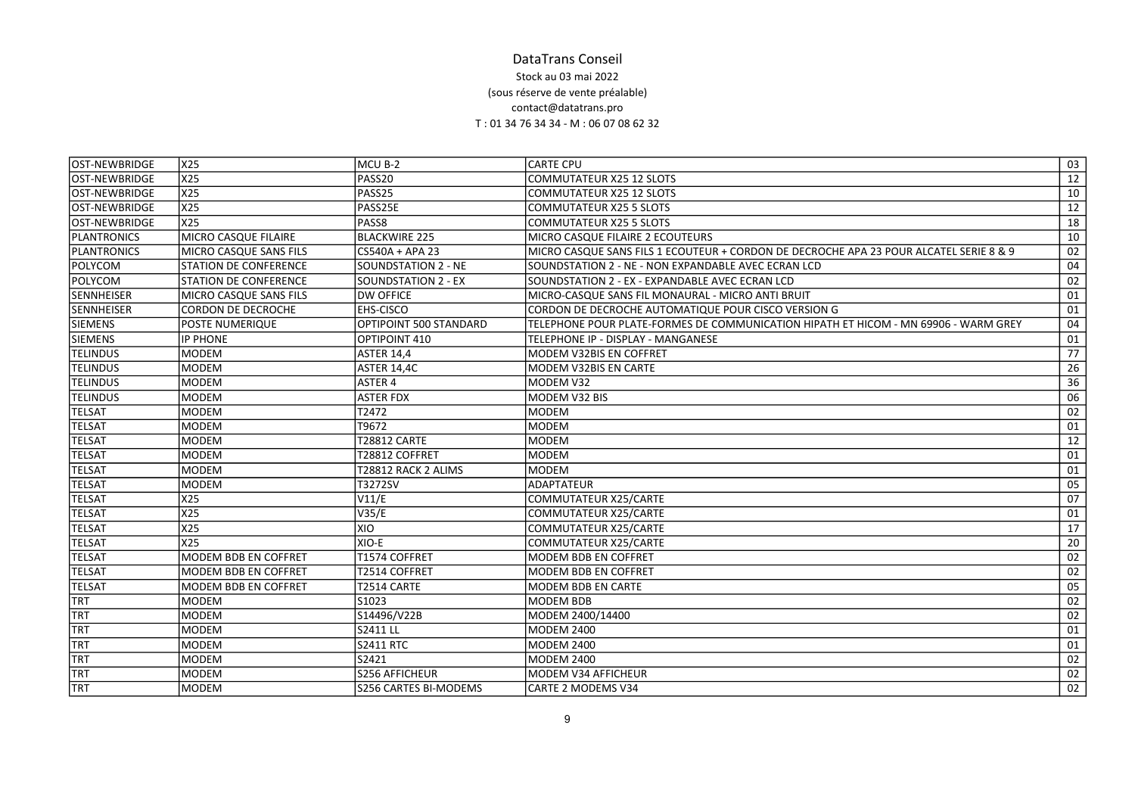| OST-NEWBRIDGE        | X25                           | MCU B-2                | <b>CARTE CPU</b>                                                                       | 03 |
|----------------------|-------------------------------|------------------------|----------------------------------------------------------------------------------------|----|
| <b>OST-NEWBRIDGE</b> | X25                           | PASS20                 | COMMUTATEUR X25 12 SLOTS                                                               | 12 |
| <b>OST-NEWBRIDGE</b> | X25                           | PASS25                 | <b>COMMUTATEUR X25 12 SLOTS</b>                                                        | 10 |
| OST-NEWBRIDGE        | X25                           | PASS25E                | <b>COMMUTATEUR X25 5 SLOTS</b>                                                         | 12 |
| <b>OST-NEWBRIDGE</b> | X25                           | PASS8                  | <b>COMMUTATEUR X25 5 SLOTS</b>                                                         | 18 |
| <b>PLANTRONICS</b>   | MICRO CASQUE FILAIRE          | BLACKWIRE 225          | MICRO CASQUE FILAIRE 2 ECOUTEURS                                                       | 10 |
| <b>PLANTRONICS</b>   | <b>MICRO CASQUE SANS FILS</b> | CS540A + APA 23        | MICRO CASQUE SANS FILS 1 ECOUTEUR + CORDON DE DECROCHE APA 23 POUR ALCATEL SERIE 8 & 9 | 02 |
| POLYCOM              | STATION DE CONFERENCE         | SOUNDSTATION 2 - NE    | SOUNDSTATION 2 - NE - NON EXPANDABLE AVEC ECRAN LCD                                    | 04 |
| <b>POLYCOM</b>       | <b>STATION DE CONFERENCE</b>  | SOUNDSTATION 2 - EX    | SOUNDSTATION 2 - EX - EXPANDABLE AVEC ECRAN LCD                                        | 02 |
| SENNHEISER           | MICRO CASQUE SANS FILS        | <b>DW OFFICE</b>       | MICRO-CASQUE SANS FIL MONAURAL - MICRO ANTI BRUIT                                      | 01 |
| SENNHEISER           | <b>CORDON DE DECROCHE</b>     | <b>EHS-CISCO</b>       | CORDON DE DECROCHE AUTOMATIQUE POUR CISCO VERSION G                                    | 01 |
| SIEMENS              | <b>POSTE NUMERIQUE</b>        | OPTIPOINT 500 STANDARD | TELEPHONE POUR PLATE-FORMES DE COMMUNICATION HIPATH ET HICOM - MN 69906 - WARM GREY    | 04 |
| <b>SIEMENS</b>       | <b>IP PHONE</b>               | OPTIPOINT 410          | TELEPHONE IP - DISPLAY - MANGANESE                                                     | 01 |
| <b>TELINDUS</b>      | <b>MODEM</b>                  | <b>ASTER 14,4</b>      | MODEM V32BIS EN COFFRET                                                                | 77 |
| <b>TELINDUS</b>      | <b>MODEM</b>                  | ASTER 14,4C            | MODEM V32BIS EN CARTE                                                                  | 26 |
| <b>TELINDUS</b>      | <b>MODEM</b>                  | ASTER 4                | MODEM V32                                                                              | 36 |
| <b>TELINDUS</b>      | <b>MODEM</b>                  | <b>ASTER FDX</b>       | MODEM V32 BIS                                                                          | 06 |
| <b>TELSAT</b>        | <b>MODEM</b>                  | T2472                  | <b>MODEM</b>                                                                           | 02 |
| <b>TELSAT</b>        | <b>MODEM</b>                  | T9672                  | MODEM                                                                                  | 01 |
| <b>TELSAT</b>        | MODEM                         | <b>T28812 CARTE</b>    | MODEM                                                                                  | 12 |
| <b>TELSAT</b>        | MODEM                         | T28812 COFFRET         | <b>MODEM</b>                                                                           | 01 |
| <b>TELSAT</b>        | MODEM                         | T28812 RACK 2 ALIMS    | MODEM                                                                                  | 01 |
| <b>TELSAT</b>        | MODEM                         | T3272SV                | <b>ADAPTATEUR</b>                                                                      | 05 |
| <b>TELSAT</b>        | X25                           | V11/E                  | COMMUTATEUR X25/CARTE                                                                  | 07 |
| <b>TELSAT</b>        | X25                           | V35/E                  | COMMUTATEUR X25/CARTE                                                                  | 01 |
| <b>TELSAT</b>        | X25                           | XIO                    | COMMUTATEUR X25/CARTE                                                                  | 17 |
| <b>TELSAT</b>        | X25                           | XIO-E                  | COMMUTATEUR X25/CARTE                                                                  | 20 |
| <b>TELSAT</b>        | MODEM BDB EN COFFRET          | T1574 COFFRET          | <b>MODEM BDB EN COFFRET</b>                                                            | 02 |
| <b>TELSAT</b>        | MODEM BDB EN COFFRET          | T2514 COFFRET          | MODEM BDB EN COFFRET                                                                   | 02 |
| <b>TELSAT</b>        | MODEM BDB EN COFFRET          | T2514 CARTE            | <b>MODEM BDB EN CARTE</b>                                                              | 05 |
| TRT                  | <b>MODEM</b>                  | S1023                  | <b>MODEM BDB</b>                                                                       | 02 |
| TRT                  | <b>MODEM</b>                  | S14496/V22B            | MODEM 2400/14400                                                                       | 02 |
| <b>TRT</b>           | <b>MODEM</b>                  | S2411 LL               | <b>MODEM 2400</b>                                                                      | 01 |
| TRT                  | <b>MODEM</b>                  | <b>S2411 RTC</b>       | MODEM 2400                                                                             | 01 |
| TRT                  | <b>MODEM</b>                  | S2421                  | <b>MODEM 2400</b>                                                                      | 02 |
| TRT                  | <b>MODEM</b>                  | <b>S256 AFFICHEUR</b>  | MODEM V34 AFFICHEUR                                                                    | 02 |
| <b>TRT</b>           | MODEM                         | S256 CARTES BI-MODEMS  | <b>CARTE 2 MODEMS V34</b>                                                              | 02 |